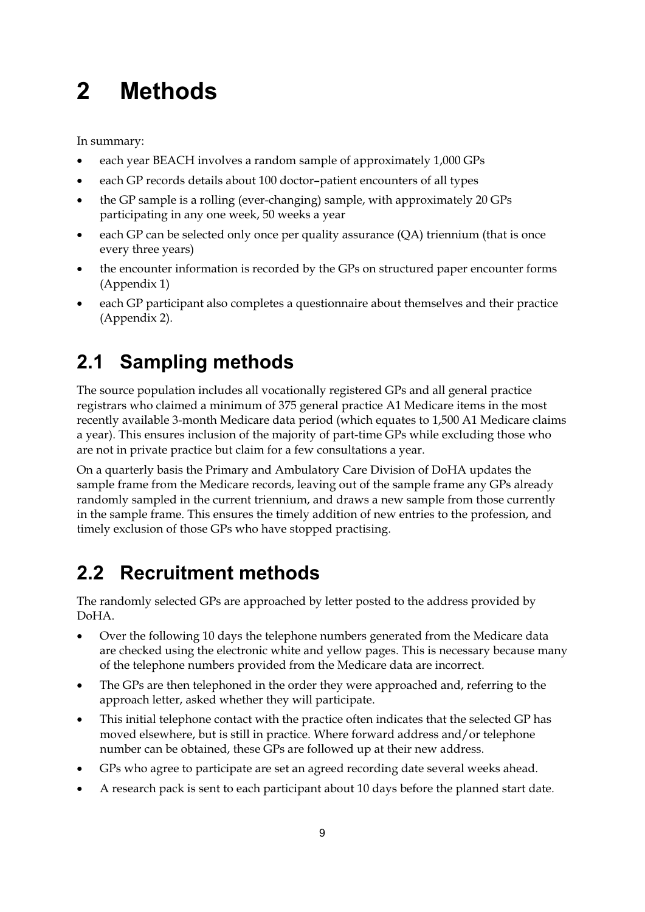# **2 Methods**

In summary:

- each year BEACH involves a random sample of approximately 1,000 GPs
- each GP records details about 100 doctor–patient encounters of all types
- the GP sample is a rolling (ever-changing) sample, with approximately 20 GPs participating in any one week, 50 weeks a year
- each GP can be selected only once per quality assurance (QA) triennium (that is once every three years)
- $\bullet$  the encounter information is recorded by the GPs on structured paper encounter forms (Appendix 1)
- each GP participant also completes a questionnaire about themselves and their practice (Appendix 2).

# **2.1 Sampling methods**

The source population includes all vocationally registered GPs and all general practice registrars who claimed a minimum of 375 general practice A1 Medicare items in the most recently available 3-month Medicare data period (which equates to 1,500 A1 Medicare claims a year). This ensures inclusion of the majority of part-time GPs while excluding those who are not in private practice but claim for a few consultations a year.

On a quarterly basis the Primary and Ambulatory Care Division of DoHA updates the sample frame from the Medicare records, leaving out of the sample frame any GPs already randomly sampled in the current triennium, and draws a new sample from those currently in the sample frame. This ensures the timely addition of new entries to the profession, and timely exclusion of those GPs who have stopped practising.

# **2.2 Recruitment methods**

The randomly selected GPs are approached by letter posted to the address provided by DoHA.

- $\bullet$  Over the following 10 days the telephone numbers generated from the Medicare data are checked using the electronic white and yellow pages. This is necessary because many of the telephone numbers provided from the Medicare data are incorrect.
- - The GPs are then telephoned in the order they were approached and, referring to the approach letter, asked whether they will participate.
- $\bullet$  This initial telephone contact with the practice often indicates that the selected GP has moved elsewhere, but is still in practice. Where forward address and/or telephone number can be obtained, these GPs are followed up at their new address.
- -GPs who agree to participate are set an agreed recording date several weeks ahead.
- $\bullet$ A research pack is sent to each participant about 10 days before the planned start date.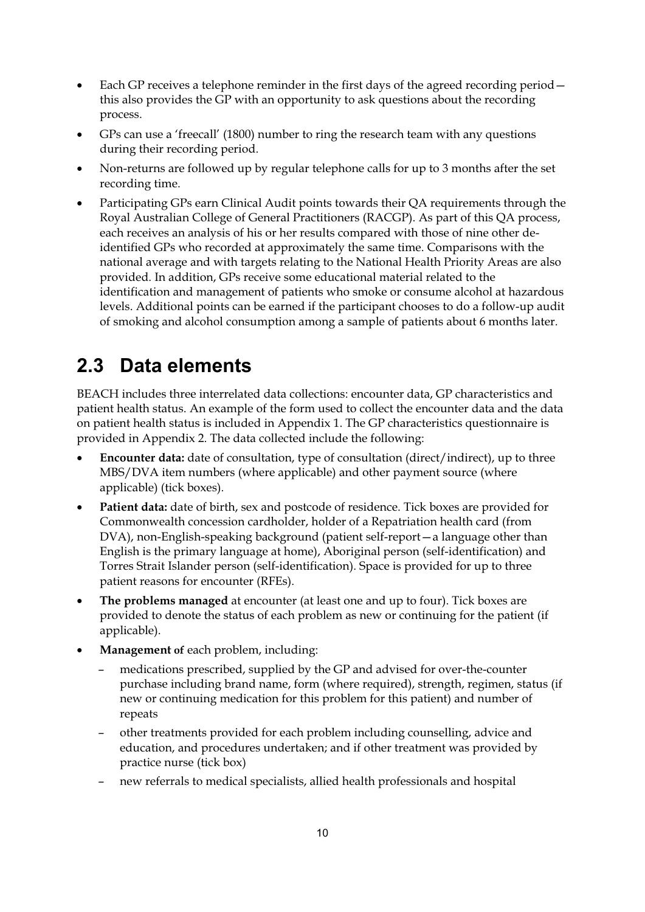- $\bullet$  Each GP receives a telephone reminder in the first days of the agreed recording period this also provides the GP with an opportunity to ask questions about the recording process.
- $\bullet$  GPs can use a 'freecall' (1800) number to ring the research team with any questions during their recording period.
- - Non-returns are followed up by regular telephone calls for up to 3 months after the set recording time.
- $\bullet$  Participating GPs earn Clinical Audit points towards their QA requirements through the Royal Australian College of General Practitioners (RACGP). As part of this QA process, each receives an analysis of his or her results compared with those of nine other deidentified GPs who recorded at approximately the same time. Comparisons with the national average and with targets relating to the National Health Priority Areas are also provided. In addition, GPs receive some educational material related to the identification and management of patients who smoke or consume alcohol at hazardous levels. Additional points can be earned if the participant chooses to do a follow-up audit of smoking and alcohol consumption among a sample of patients about 6 months later.

### **2.3 Data elements**

BEACH includes three interrelated data collections: encounter data, GP characteristics and patient health status. An example of the form used to collect the encounter data and the data on patient health status is included in Appendix 1. The GP characteristics questionnaire is provided in Appendix 2. The data collected include the following:

- $\bullet$  **Encounter data:** date of consultation, type of consultation (direct/indirect), up to three MBS/DVA item numbers (where applicable) and other payment source (where applicable) (tick boxes).
- $\bullet$  **Patient data:** date of birth, sex and postcode of residence. Tick boxes are provided for Commonwealth concession cardholder, holder of a Repatriation health card (from DVA), non-English-speaking background (patient self-report—a language other than English is the primary language at home), Aboriginal person (self-identification) and Torres Strait Islander person (self-identification). Space is provided for up to three patient reasons for encounter (RFEs).
- $\bullet$  **The problems managed** at encounter (at least one and up to four). Tick boxes are provided to denote the status of each problem as new or continuing for the patient (if applicable).
- $\bullet$  **Management of** each problem, including:
	- medications prescribed, supplied by the GP and advised for over-the-counter purchase including brand name, form (where required), strength, regimen, status (if new or continuing medication for this problem for this patient) and number of repeats
	- other treatments provided for each problem including counselling, advice and education, and procedures undertaken; and if other treatment was provided by practice nurse (tick box)
	- new referrals to medical specialists, allied health professionals and hospital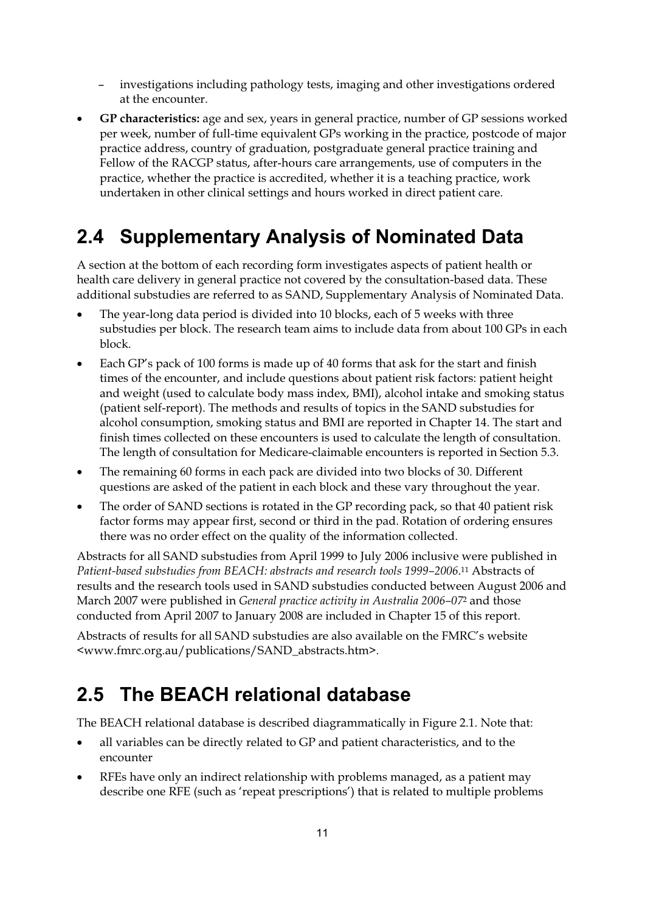- investigations including pathology tests, imaging and other investigations ordered at the encounter.
- - **GP characteristics:** age and sex, years in general practice, number of GP sessions worked per week, number of full-time equivalent GPs working in the practice, postcode of major practice address, country of graduation, postgraduate general practice training and Fellow of the RACGP status, after-hours care arrangements, use of computers in the practice, whether the practice is accredited, whether it is a teaching practice, work undertaken in other clinical settings and hours worked in direct patient care.

### **2.4 Supplementary Analysis of Nominated Data**

A section at the bottom of each recording form investigates aspects of patient health or health care delivery in general practice not covered by the consultation-based data. These additional substudies are referred to as SAND, Supplementary Analysis of Nominated Data.

- $\bullet$  The year-long data period is divided into 10 blocks, each of 5 weeks with three substudies per block. The research team aims to include data from about 100 GPs in each block.
- $\bullet$  Each GP's pack of 100 forms is made up of 40 forms that ask for the start and finish times of the encounter, and include questions about patient risk factors: patient height and weight (used to calculate body mass index, BMI), alcohol intake and smoking status (patient self-report). The methods and results of topics in the SAND substudies for alcohol consumption, smoking status and BMI are reported in Chapter 14. The start and finish times collected on these encounters is used to calculate the length of consultation. The length of consultation for Medicare-claimable encounters is reported in Section 5.3.
- $\bullet$  The remaining 60 forms in each pack are divided into two blocks of 30. Different questions are asked of the patient in each block and these vary throughout the year.
- $\bullet$  The order of SAND sections is rotated in the GP recording pack, so that 40 patient risk factor forms may appear first, second or third in the pad. Rotation of ordering ensures there was no order effect on the quality of the information collected.

Abstracts for all SAND substudies from April 1999 to July 2006 inclusive were published in *Patient-based substudies from BEACH: abstracts and research tools 1999–2006*.11 Abstracts of results and the research tools used in SAND substudies conducted between August 2006 and March 2007 were published in *General practice activity in Australia 2006–07*2 and those conducted from April 2007 to January 2008 are included in Chapter 15 of this report.

Abstracts of results for all SAND substudies are also available on the FMRC's website <www.fmrc.org.au/publications/SAND\_abstracts.htm>.

### **2.5 The BEACH relational database**

The BEACH relational database is described diagrammatically in Figure 2.1. Note that:

- $\bullet$  all variables can be directly related to GP and patient characteristics, and to the encounter
- $\bullet$  RFEs have only an indirect relationship with problems managed, as a patient may describe one RFE (such as 'repeat prescriptions') that is related to multiple problems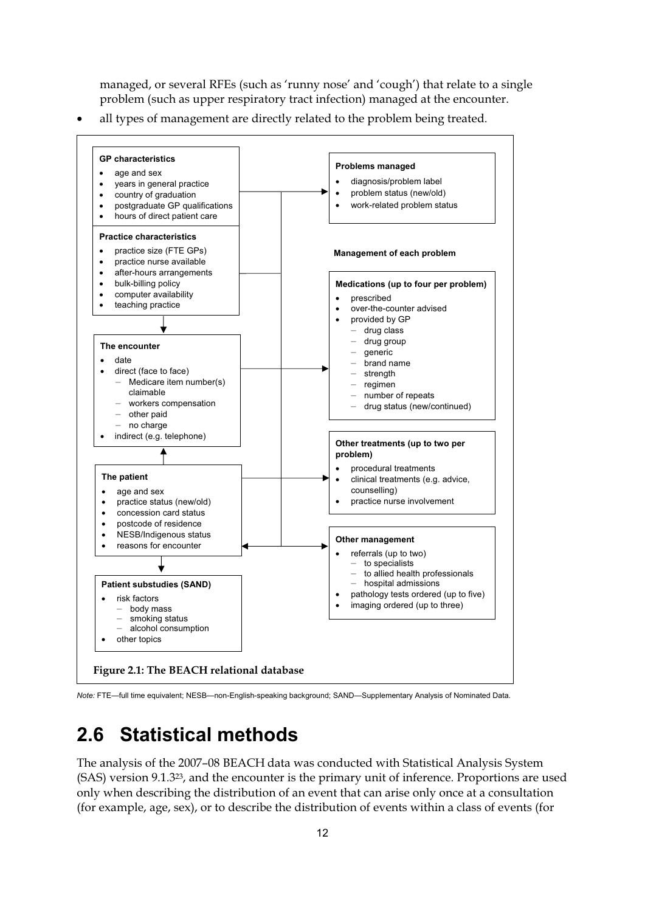managed, or several RFEs (such as 'runny nose' and 'cough') that relate to a single problem (such as upper respiratory tract infection) managed at the encounter.

 $\bullet$ all types of management are directly related to the problem being treated.



*Note:* FTE—full time equivalent; NESB—non-English-speaking background; SAND—Supplementary Analysis of Nominated Data.

### **2.6 Statistical methods**

The analysis of the 2007–08 BEACH data was conducted with Statistical Analysis System (SAS) version 9.1.323, and the encounter is the primary unit of inference. Proportions are used only when describing the distribution of an event that can arise only once at a consultation (for example, age, sex), or to describe the distribution of events within a class of events (for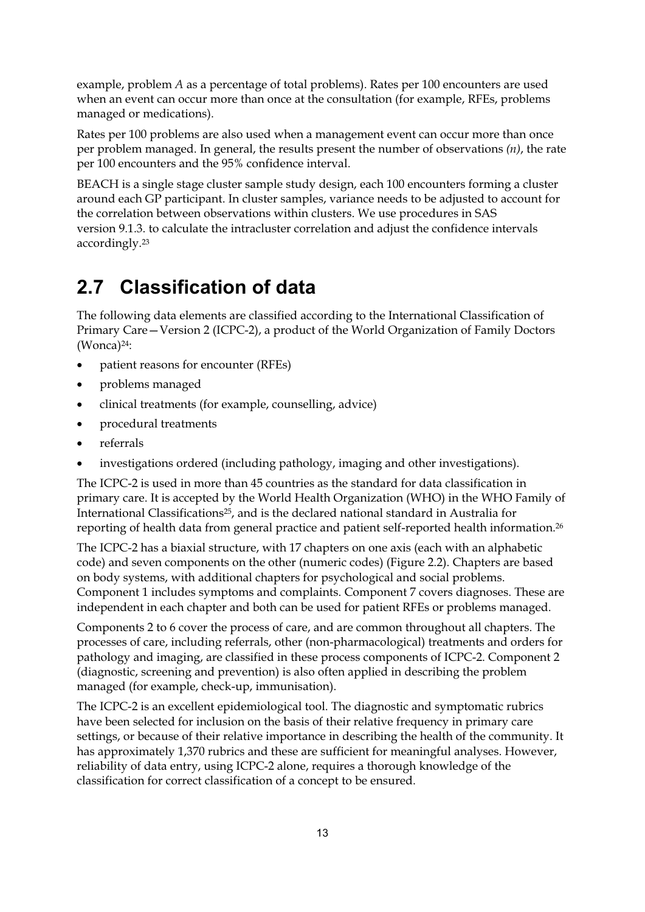example, problem *A* as a percentage of total problems). Rates per 100 encounters are used when an event can occur more than once at the consultation (for example, RFEs, problems managed or medications).

Rates per 100 problems are also used when a management event can occur more than once per problem managed. In general, the results present the number of observations *(n)*, the rate per 100 encounters and the 95% confidence interval.

BEACH is a single stage cluster sample study design, each 100 encounters forming a cluster around each GP participant. In cluster samples, variance needs to be adjusted to account for the correlation between observations within clusters. We use procedures in SAS version 9.1.3. to calculate the intracluster correlation and adjust the confidence intervals accordingly.23

### **2.7 Classification of data**

The following data elements are classified according to the International Classification of Primary Care—Version 2 (ICPC-2), a product of the World Organization of Family Doctors (Wonca)24:

- $\bullet$ patient reasons for encounter (RFEs)
- $\bullet$ problems managed
- $\bullet$ clinical treatments (for example, counselling, advice)
- $\bullet$ procedural treatments
- $\bullet$ referrals
- $\bullet$ investigations ordered (including pathology, imaging and other investigations).

The ICPC-2 is used in more than 45 countries as the standard for data classification in primary care. It is accepted by the World Health Organization (WHO) in the WHO Family of International Classifications25, and is the declared national standard in Australia for reporting of health data from general practice and patient self-reported health information.26

The ICPC-2 has a biaxial structure, with 17 chapters on one axis (each with an alphabetic code) and seven components on the other (numeric codes) (Figure 2.2). Chapters are based on body systems, with additional chapters for psychological and social problems. Component 1 includes symptoms and complaints. Component 7 covers diagnoses. These are independent in each chapter and both can be used for patient RFEs or problems managed.

Components 2 to 6 cover the process of care, and are common throughout all chapters. The processes of care, including referrals, other (non-pharmacological) treatments and orders for pathology and imaging, are classified in these process components of ICPC-2. Component 2 (diagnostic, screening and prevention) is also often applied in describing the problem managed (for example, check-up, immunisation).

The ICPC-2 is an excellent epidemiological tool. The diagnostic and symptomatic rubrics have been selected for inclusion on the basis of their relative frequency in primary care settings, or because of their relative importance in describing the health of the community. It has approximately 1,370 rubrics and these are sufficient for meaningful analyses. However, reliability of data entry, using ICPC-2 alone, requires a thorough knowledge of the classification for correct classification of a concept to be ensured.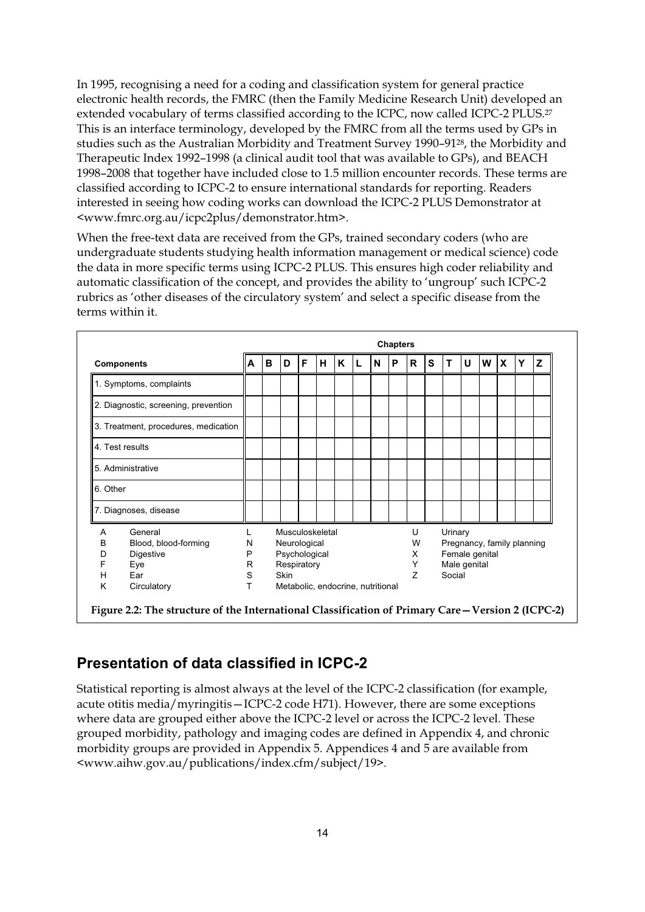In 1995, recognising a need for a coding and classification system for general practice electronic health records, the FMRC (then the Family Medicine Research Unit) developed an extended vocabulary of terms classified according to the ICPC, now called ICPC-2 PLUS.<sup>27</sup> This is an interface terminology, developed by the FMRC from all the terms used by GPs in studies such as the Australian Morbidity and Treatment Survey 1990–9128, the Morbidity and Therapeutic Index 1992–1998 (a clinical audit tool that was available to GPs), and BEACH 1998–2008 that together have included close to 1.5 million encounter records. These terms are classified according to ICPC-2 to ensure international standards for reporting. Readers interested in seeing how coding works can download the ICPC-2 PLUS Demonstrator at <www.fmrc.org.au/icpc2plus/demonstrator.htm>.

When the free-text data are received from the GPs, trained secondary coders (who are undergraduate students studying health information management or medical science) code the data in more specific terms using ICPC-2 PLUS. This ensures high coder reliability and automatic classification of the concept, and provides the ability to 'ungroup' such ICPC-2 rubrics as 'other diseases of the circulatory system' and select a specific disease from the terms within it.

|                                      |                         | <b>Chapters</b> |   |                                   |   |   |   |   |   |   |              |   |                            |   |   |              |   |   |  |
|--------------------------------------|-------------------------|-----------------|---|-----------------------------------|---|---|---|---|---|---|--------------|---|----------------------------|---|---|--------------|---|---|--|
| <b>Components</b>                    |                         | A               | B | D                                 | F | н | K | L | N | P | $\mathsf{R}$ | S | т                          | U | W | $\mathbf{x}$ | Y | Z |  |
|                                      | 1. Symptoms, complaints |                 |   |                                   |   |   |   |   |   |   |              |   |                            |   |   |              |   |   |  |
| 2. Diagnostic, screening, prevention |                         |                 |   |                                   |   |   |   |   |   |   |              |   |                            |   |   |              |   |   |  |
| 3. Treatment, procedures, medication |                         |                 |   |                                   |   |   |   |   |   |   |              |   |                            |   |   |              |   |   |  |
| 4. Test results                      |                         |                 |   |                                   |   |   |   |   |   |   |              |   |                            |   |   |              |   |   |  |
| 5. Administrative                    |                         |                 |   |                                   |   |   |   |   |   |   |              |   |                            |   |   |              |   |   |  |
| 6. Other                             |                         |                 |   |                                   |   |   |   |   |   |   |              |   |                            |   |   |              |   |   |  |
|                                      | 7. Diagnoses, disease   |                 |   |                                   |   |   |   |   |   |   |              |   |                            |   |   |              |   |   |  |
| A                                    | General                 |                 |   | Musculoskeletal                   |   |   |   |   |   |   | U            |   | Urinary                    |   |   |              |   |   |  |
| в                                    | Blood, blood-forming    | N               |   | Neurological                      |   |   |   |   |   |   | W            |   | Pregnancy, family planning |   |   |              |   |   |  |
| D                                    | Digestive               | P               |   | Psychological                     |   |   |   |   |   |   | X            |   | Female genital             |   |   |              |   |   |  |
| F                                    | Eye                     | R               |   | Respiratory                       |   |   |   |   |   |   | Y            |   | Male genital               |   |   |              |   |   |  |
| H                                    | Ear                     | S               |   | Skin                              |   |   |   |   |   |   | Z            |   | Social                     |   |   |              |   |   |  |
| K                                    | Circulatory             | T               |   | Metabolic, endocrine, nutritional |   |   |   |   |   |   |              |   |                            |   |   |              |   |   |  |

### **Presentation of data classified in ICPC-2**

Statistical reporting is almost always at the level of the ICPC-2 classification (for example, acute otitis media/myringitis—ICPC-2 code H71). However, there are some exceptions where data are grouped either above the ICPC-2 level or across the ICPC-2 level. These grouped morbidity, pathology and imaging codes are defined in Appendix 4, and chronic morbidity groups are provided in Appendix 5. Appendices 4 and 5 are available from <www.aihw.gov.au/publications/index.cfm/subject/19>.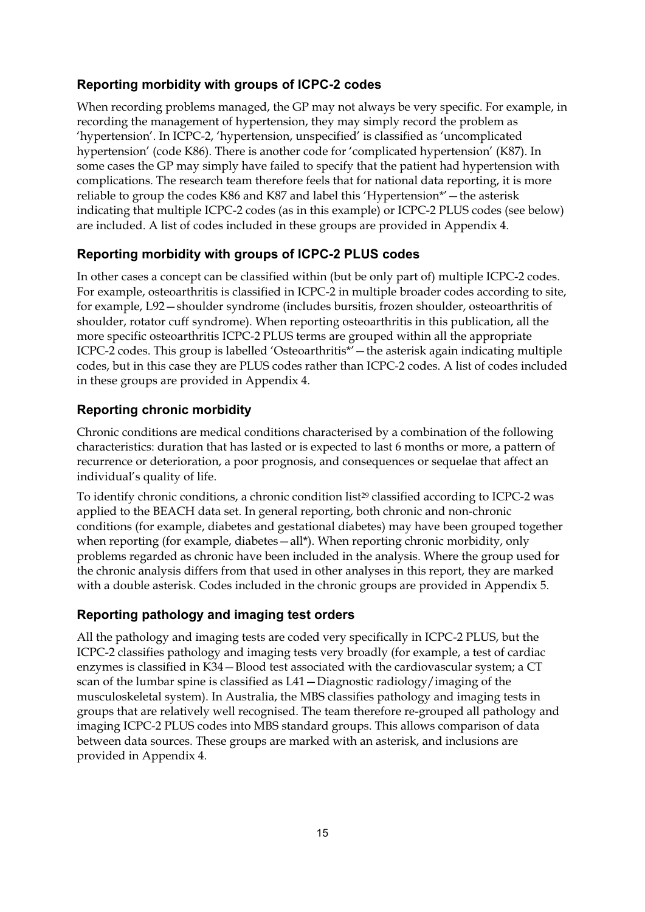#### **Reporting morbidity with groups of ICPC-2 codes**

When recording problems managed, the GP may not always be very specific. For example, in recording the management of hypertension, they may simply record the problem as 'hypertension'. In ICPC-2, 'hypertension, unspecified' is classified as 'uncomplicated hypertension' (code K86). There is another code for 'complicated hypertension' (K87). In some cases the GP may simply have failed to specify that the patient had hypertension with complications. The research team therefore feels that for national data reporting, it is more reliable to group the codes K86 and K87 and label this 'Hypertension\*'—the asterisk indicating that multiple ICPC-2 codes (as in this example) or ICPC-2 PLUS codes (see below) are included. A list of codes included in these groups are provided in Appendix 4.

#### **Reporting morbidity with groups of ICPC-2 PLUS codes**

In other cases a concept can be classified within (but be only part of) multiple ICPC-2 codes. For example, osteoarthritis is classified in ICPC-2 in multiple broader codes according to site, for example, L92—shoulder syndrome (includes bursitis, frozen shoulder, osteoarthritis of shoulder, rotator cuff syndrome). When reporting osteoarthritis in this publication, all the more specific osteoarthritis ICPC-2 PLUS terms are grouped within all the appropriate ICPC-2 codes. This group is labelled 'Osteoarthritis\*'—the asterisk again indicating multiple codes, but in this case they are PLUS codes rather than ICPC-2 codes. A list of codes included in these groups are provided in Appendix 4.

#### **Reporting chronic morbidity**

Chronic conditions are medical conditions characterised by a combination of the following characteristics: duration that has lasted or is expected to last 6 months or more, a pattern of recurrence or deterioration, a poor prognosis, and consequences or sequelae that affect an individual's quality of life.

To identify chronic conditions, a chronic condition list<sup>29</sup> classified according to ICPC-2 was applied to the BEACH data set. In general reporting, both chronic and non-chronic conditions (for example, diabetes and gestational diabetes) may have been grouped together when reporting (for example, diabetes – all\*). When reporting chronic morbidity, only problems regarded as chronic have been included in the analysis. Where the group used for the chronic analysis differs from that used in other analyses in this report, they are marked with a double asterisk. Codes included in the chronic groups are provided in Appendix 5.

#### **Reporting pathology and imaging test orders**

All the pathology and imaging tests are coded very specifically in ICPC-2 PLUS, but the ICPC-2 classifies pathology and imaging tests very broadly (for example, a test of cardiac enzymes is classified in K34—Blood test associated with the cardiovascular system; a CT scan of the lumbar spine is classified as L41—Diagnostic radiology/imaging of the musculoskeletal system). In Australia, the MBS classifies pathology and imaging tests in groups that are relatively well recognised. The team therefore re-grouped all pathology and imaging ICPC-2 PLUS codes into MBS standard groups. This allows comparison of data between data sources. These groups are marked with an asterisk, and inclusions are provided in Appendix 4.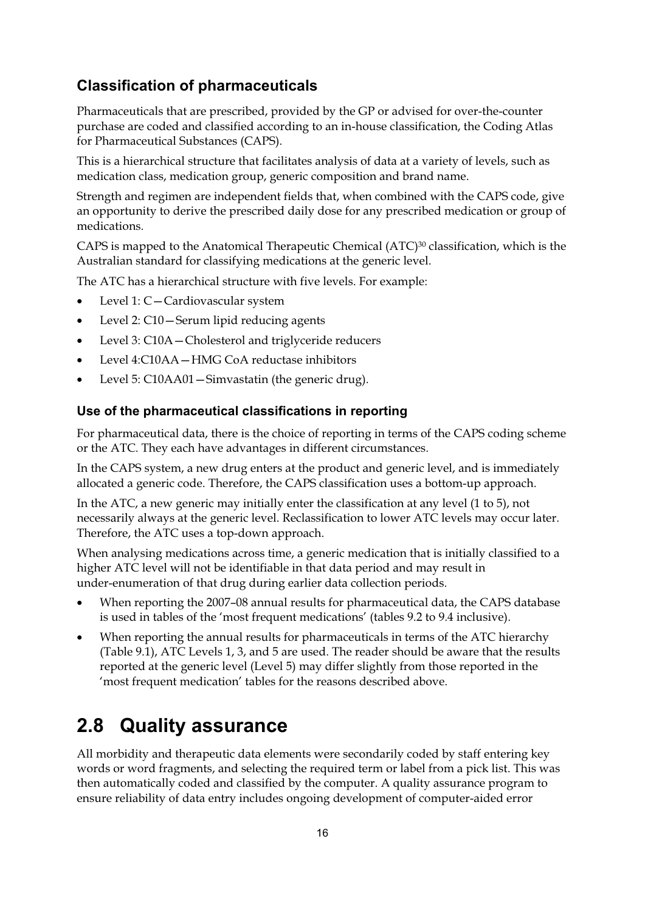### **Classification of pharmaceuticals**

Pharmaceuticals that are prescribed, provided by the GP or advised for over-the-counter purchase are coded and classified according to an in-house classification, the Coding Atlas for Pharmaceutical Substances (CAPS).

This is a hierarchical structure that facilitates analysis of data at a variety of levels, such as medication class, medication group, generic composition and brand name.

Strength and regimen are independent fields that, when combined with the CAPS code, give an opportunity to derive the prescribed daily dose for any prescribed medication or group of medications.

CAPS is mapped to the Anatomical Therapeutic Chemical (ATC)30 classification, which is the Australian standard for classifying medications at the generic level.

The ATC has a hierarchical structure with five levels. For example:

- $\bullet$ Level 1: C—Cardiovascular system
- $\bullet$ Level 2: C10—Serum lipid reducing agents
- $\bullet$ Level 3: C10A—Cholesterol and triglyceride reducers
- $\bullet$ Level 4:C10AA—HMG CoA reductase inhibitors
- $\bullet$ Level 5: C10AA01—Simvastatin (the generic drug).

#### **Use of the pharmaceutical classifications in reporting**

For pharmaceutical data, there is the choice of reporting in terms of the CAPS coding scheme or the ATC. They each have advantages in different circumstances.

In the CAPS system, a new drug enters at the product and generic level, and is immediately allocated a generic code. Therefore, the CAPS classification uses a bottom-up approach.

In the ATC, a new generic may initially enter the classification at any level (1 to 5), not necessarily always at the generic level. Reclassification to lower ATC levels may occur later. Therefore, the ATC uses a top-down approach.

When analysing medications across time, a generic medication that is initially classified to a higher ATC level will not be identifiable in that data period and may result in under-enumeration of that drug during earlier data collection periods.

- $\bullet$  When reporting the 2007–08 annual results for pharmaceutical data, the CAPS database is used in tables of the 'most frequent medications' (tables 9.2 to 9.4 inclusive).
- - When reporting the annual results for pharmaceuticals in terms of the ATC hierarchy (Table 9.1), ATC Levels 1, 3, and 5 are used. The reader should be aware that the results reported at the generic level (Level 5) may differ slightly from those reported in the 'most frequent medication' tables for the reasons described above.

### **2.8 Quality assurance**

All morbidity and therapeutic data elements were secondarily coded by staff entering key words or word fragments, and selecting the required term or label from a pick list. This was then automatically coded and classified by the computer. A quality assurance program to ensure reliability of data entry includes ongoing development of computer-aided error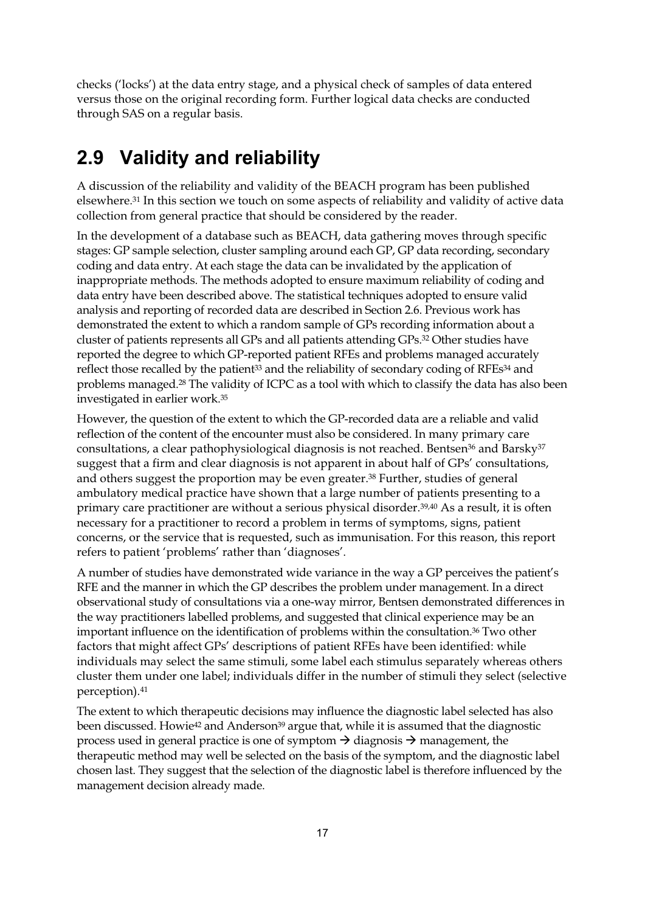checks ('locks') at the data entry stage, and a physical check of samples of data entered versus those on the original recording form. Further logical data checks are conducted through SAS on a regular basis.

### **2.9 Validity and reliability**

A discussion of the reliability and validity of the BEACH program has been published elsewhere.31 In this section we touch on some aspects of reliability and validity of active data collection from general practice that should be considered by the reader.

In the development of a database such as BEACH, data gathering moves through specific stages: GP sample selection, cluster sampling around each GP, GP data recording, secondary coding and data entry. At each stage the data can be invalidated by the application of inappropriate methods. The methods adopted to ensure maximum reliability of coding and data entry have been described above. The statistical techniques adopted to ensure valid analysis and reporting of recorded data are described in Section 2.6. Previous work has demonstrated the extent to which a random sample of GPs recording information about a cluster of patients represents all GPs and all patients attending GPs.32 Other studies have reported the degree to which GP-reported patient RFEs and problems managed accurately reflect those recalled by the patient<sup>33</sup> and the reliability of secondary coding of RFEs<sup>34</sup> and problems managed.<sup>28</sup> The validity of ICPC as a tool with which to classify the data has also been investigated in earlier work.35

However, the question of the extent to which the GP-recorded data are a reliable and valid reflection of the content of the encounter must also be considered. In many primary care consultations, a clear pathophysiological diagnosis is not reached. Bentsen<sup>36</sup> and Barsky<sup>37</sup> suggest that a firm and clear diagnosis is not apparent in about half of GPs' consultations, and others suggest the proportion may be even greater.38 Further, studies of general ambulatory medical practice have shown that a large number of patients presenting to a primary care practitioner are without a serious physical disorder.39,40 As a result, it is often necessary for a practitioner to record a problem in terms of symptoms, signs, patient concerns, or the service that is requested, such as immunisation. For this reason, this report refers to patient 'problems' rather than 'diagnoses'.

A number of studies have demonstrated wide variance in the way a GP perceives the patient's RFE and the manner in which the GP describes the problem under management. In a direct observational study of consultations via a one-way mirror, Bentsen demonstrated differences in the way practitioners labelled problems, and suggested that clinical experience may be an important influence on the identification of problems within the consultation.<sup>36</sup> Two other factors that might affect GPs' descriptions of patient RFEs have been identified: while individuals may select the same stimuli, some label each stimulus separately whereas others cluster them under one label; individuals differ in the number of stimuli they select (selective perception).41

The extent to which therapeutic decisions may influence the diagnostic label selected has also been discussed. Howie<sup>42</sup> and Anderson<sup>39</sup> argue that, while it is assumed that the diagnostic process used in general practice is one of symptom  $\rightarrow$  diagnosis  $\rightarrow$  management, the therapeutic method may well be selected on the basis of the symptom, and the diagnostic label chosen last. They suggest that the selection of the diagnostic label is therefore influenced by the management decision already made.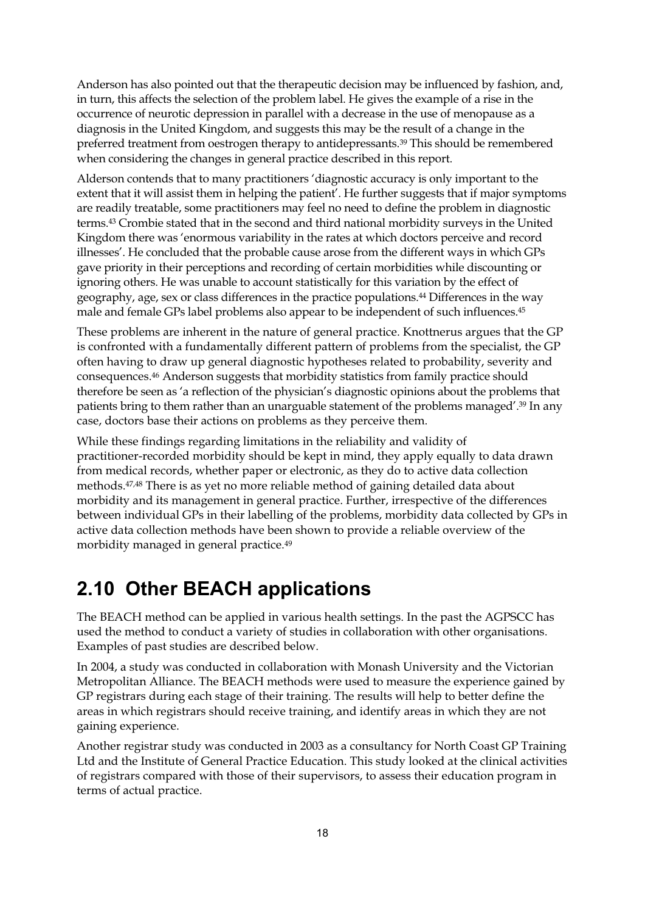Anderson has also pointed out that the therapeutic decision may be influenced by fashion, and, in turn, this affects the selection of the problem label. He gives the example of a rise in the occurrence of neurotic depression in parallel with a decrease in the use of menopause as a diagnosis in the United Kingdom, and suggests this may be the result of a change in the preferred treatment from oestrogen therapy to antidepressants.39 This should be remembered when considering the changes in general practice described in this report.

Alderson contends that to many practitioners 'diagnostic accuracy is only important to the extent that it will assist them in helping the patient'. He further suggests that if major symptoms are readily treatable, some practitioners may feel no need to define the problem in diagnostic terms.43 Crombie stated that in the second and third national morbidity surveys in the United Kingdom there was 'enormous variability in the rates at which doctors perceive and record illnesses'. He concluded that the probable cause arose from the different ways in which GPs gave priority in their perceptions and recording of certain morbidities while discounting or ignoring others. He was unable to account statistically for this variation by the effect of geography, age, sex or class differences in the practice populations.44 Differences in the way male and female GPs label problems also appear to be independent of such influences.45

These problems are inherent in the nature of general practice. Knottnerus argues that the GP is confronted with a fundamentally different pattern of problems from the specialist, the GP often having to draw up general diagnostic hypotheses related to probability, severity and consequences.46 Anderson suggests that morbidity statistics from family practice should therefore be seen as 'a reflection of the physician's diagnostic opinions about the problems that patients bring to them rather than an unarguable statement of the problems managed'.39 In any case, doctors base their actions on problems as they perceive them.

While these findings regarding limitations in the reliability and validity of practitioner-recorded morbidity should be kept in mind, they apply equally to data drawn from medical records, whether paper or electronic, as they do to active data collection methods.47,48 There is as yet no more reliable method of gaining detailed data about morbidity and its management in general practice. Further, irrespective of the differences between individual GPs in their labelling of the problems, morbidity data collected by GPs in active data collection methods have been shown to provide a reliable overview of the morbidity managed in general practice.49

### **2.10 Other BEACH applications**

The BEACH method can be applied in various health settings. In the past the AGPSCC has used the method to conduct a variety of studies in collaboration with other organisations. Examples of past studies are described below.

In 2004, a study was conducted in collaboration with Monash University and the Victorian Metropolitan Alliance. The BEACH methods were used to measure the experience gained by GP registrars during each stage of their training. The results will help to better define the areas in which registrars should receive training, and identify areas in which they are not gaining experience.

Another registrar study was conducted in 2003 as a consultancy for North Coast GP Training Ltd and the Institute of General Practice Education. This study looked at the clinical activities of registrars compared with those of their supervisors, to assess their education program in terms of actual practice.